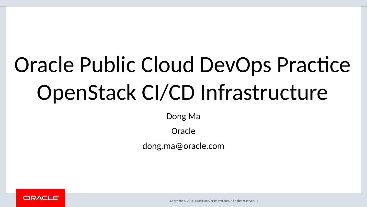# Oracle Public Cloud DevOps Practice OpenStack CI/CD Infrastructure

Dong Ma

Oracle

dong.ma@oracle.com



Copyright © 2018, Oracle and/or its affiliates. All rights reserved.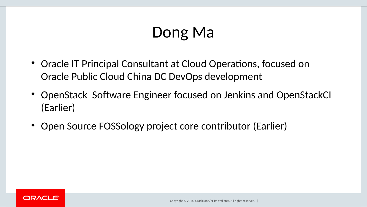### Dong Ma

- Oracle IT Principal Consultant at Cloud Operations, focused on Oracle Public Cloud China DC DevOps development
- OpenStack Software Engineer focused on Jenkins and OpenStackCI (Earlier)
- Open Source FOSSology project core contributor (Earlier)

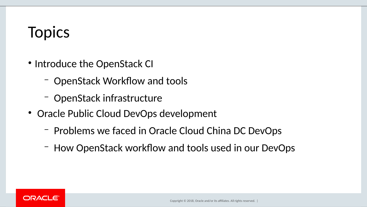### **Topics**

- Introduce the OpenStack CI
	- OpenStack Workflow and tools
	- OpenStack infrastructure
- Oracle Public Cloud DevOps development
	- Problems we faced in Oracle Cloud China DC DevOps
	- How OpenStack workflow and tools used in our DevOps

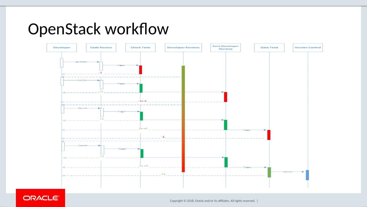#### OpenStack workflow



ORACLE<sup>®</sup>

Copyright © 2018, Oracle and/or its affiliates. All rights reserved. |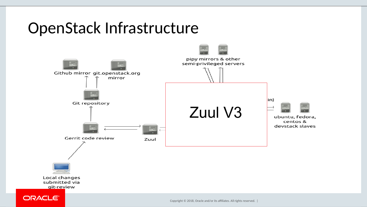#### OpenStack Infrastructure



submitted via git-review

ORACLE<sup>®</sup>

Copyright © 2018, Oracle and/or its affiliates. All rights reserved. |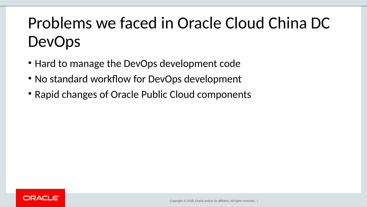## Problems we faced in Oracle Cloud China DC DevOps

- Hard to manage the DevOps development code
- No standard workflow for DevOps development
- Rapid changes of Oracle Public Cloud components

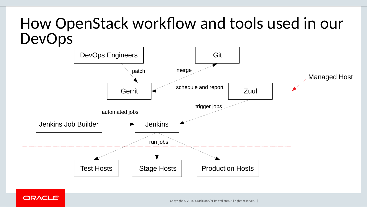#### How OpenStack workflow and tools used in our DevOps



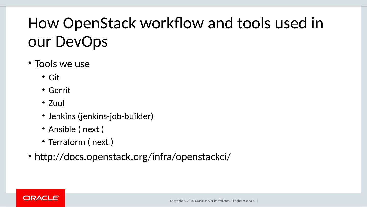### How OpenStack workflow and tools used in our DevOps

#### • Tools we use

- Git
- Gerrit
- Zuul
- Jenkins (jenkins-job-builder)
- Ansible ( next )
- Terraform (next)
- htp://docs.openstack.org/infra/openstackci/

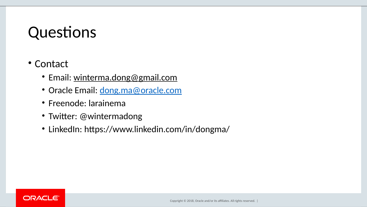#### Questions

#### • Contact

- Email: [winterma.dong@gmail.com](mailto:winterma.dong@gmail.com)
- Oracle Email: dong.ma@oracle.com
- Freenode: larainema
- Twiter: @wintermadong
- LinkedIn: [htps://www.linkedin.com/in/dongma/](https://www.linkedin.com/in/dongma/)